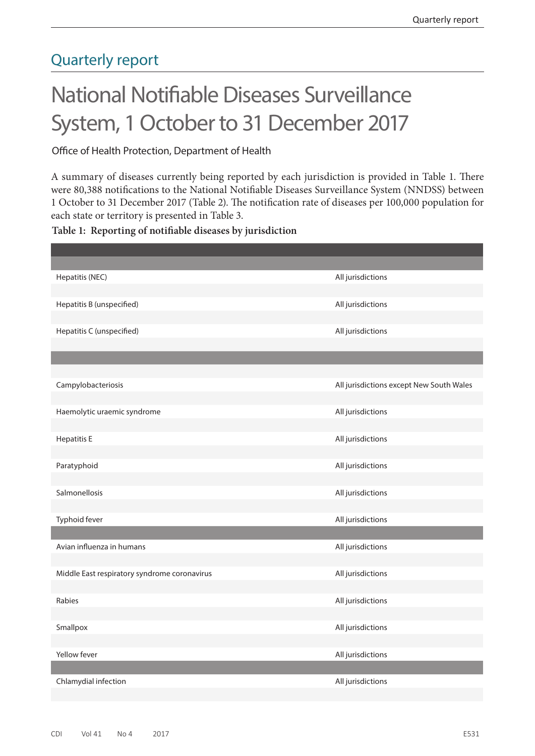## Quarterly report

# National Notifiable Diseases Surveillance System, 1 October to 31 December 2017

## Office of Health Protection, Department of Health

A summary of diseases currently being reported by each jurisdiction is provided in Table 1. There were 80,388 notifications to the National Notifiable Diseases Surveillance System (NNDSS) between 1 October to 31 December 2017 (Table 2). The notification rate of diseases per 100,000 population for each state or territory is presented in Table 3.

### **Table 1: Reporting of notifiable diseases by jurisdiction**

| Hepatitis (NEC)                              | All jurisdictions                        |
|----------------------------------------------|------------------------------------------|
|                                              |                                          |
| Hepatitis B (unspecified)                    | All jurisdictions                        |
|                                              |                                          |
| Hepatitis C (unspecified)                    | All jurisdictions                        |
|                                              |                                          |
|                                              |                                          |
| Campylobacteriosis                           | All jurisdictions except New South Wales |
|                                              |                                          |
| Haemolytic uraemic syndrome                  | All jurisdictions                        |
|                                              |                                          |
| <b>Hepatitis E</b>                           | All jurisdictions                        |
|                                              |                                          |
| Paratyphoid                                  | All jurisdictions                        |
|                                              |                                          |
| Salmonellosis                                | All jurisdictions                        |
|                                              |                                          |
| Typhoid fever                                | All jurisdictions                        |
|                                              |                                          |
| Avian influenza in humans                    | All jurisdictions                        |
|                                              |                                          |
| Middle East respiratory syndrome coronavirus | All jurisdictions                        |
|                                              |                                          |
| Rabies                                       | All jurisdictions                        |
| Smallpox                                     | All jurisdictions                        |
|                                              |                                          |
| Yellow fever                                 | All jurisdictions                        |
|                                              |                                          |
| Chlamydial infection                         | All jurisdictions                        |
|                                              |                                          |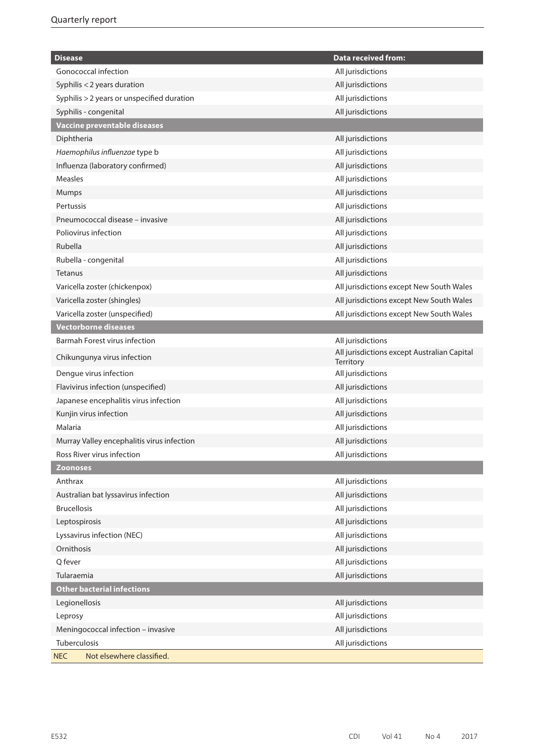| <b>Disease</b>                             | <b>Data received from:</b>                               |
|--------------------------------------------|----------------------------------------------------------|
| Gonococcal infection                       | All jurisdictions                                        |
| Syphilis < 2 years duration                | All jurisdictions                                        |
| Syphilis > 2 years or unspecified duration | All jurisdictions                                        |
| Syphilis - congenital                      | All jurisdictions                                        |
| Vaccine preventable diseases               |                                                          |
| Diphtheria                                 | All jurisdictions                                        |
| Haemophilus influenzae type b              | All jurisdictions                                        |
| Influenza (laboratory confirmed)           | All jurisdictions                                        |
| <b>Measles</b>                             | All jurisdictions                                        |
| Mumps                                      | All jurisdictions                                        |
| Pertussis                                  | All jurisdictions                                        |
| Pneumococcal disease - invasive            | All jurisdictions                                        |
| Poliovirus infection                       | All jurisdictions                                        |
| Rubella                                    | All jurisdictions                                        |
| Rubella - congenital                       | All jurisdictions                                        |
| Tetanus                                    | All jurisdictions                                        |
| Varicella zoster (chickenpox)              | All jurisdictions except New South Wales                 |
| Varicella zoster (shingles)                | All jurisdictions except New South Wales                 |
| Varicella zoster (unspecified)             | All jurisdictions except New South Wales                 |
| <b>Vectorborne diseases</b>                |                                                          |
| Barmah Forest virus infection              | All jurisdictions                                        |
| Chikungunya virus infection                | All jurisdictions except Australian Capital<br>Territory |
| Dengue virus infection                     | All jurisdictions                                        |
| Flavivirus infection (unspecified)         | All jurisdictions                                        |
| Japanese encephalitis virus infection      | All jurisdictions                                        |
| Kunjin virus infection                     | All jurisdictions                                        |
| Malaria                                    | All jurisdictions                                        |
| Murray Valley encephalitis virus infection | All jurisdictions                                        |
| Ross River virus infection                 | All jurisdictions                                        |
| <b>Zoonoses</b>                            |                                                          |
| Anthrax                                    | All jurisdictions                                        |
| Australian bat lyssavirus infection        | All jurisdictions                                        |
| <b>Brucellosis</b>                         | All jurisdictions                                        |
| Leptospirosis                              | All jurisdictions                                        |
| Lyssavirus infection (NEC)                 | All jurisdictions                                        |
| Ornithosis                                 | All jurisdictions                                        |
| Q fever                                    | All jurisdictions                                        |
| Tularaemia                                 | All jurisdictions                                        |
| <b>Other bacterial infections</b>          |                                                          |
| Legionellosis                              | All jurisdictions                                        |
| Leprosy                                    | All jurisdictions                                        |
| Meningococcal infection - invasive         | All jurisdictions                                        |
| Tuberculosis                               | All jurisdictions                                        |
| Not elsewhere classified.<br><b>NEC</b>    |                                                          |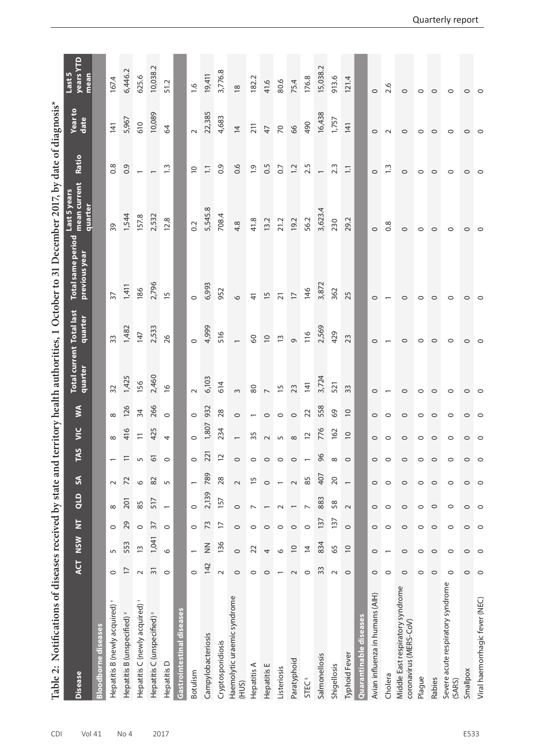| Notifications of diseases received by state and<br>Table 2: |                |                |                         |                          |                          |                  |                          |                          |                                            |                           | territory health authorities, 1 October to 31 December 2017, by date of diagnosis* |                                        |                  |                  |                  |
|-------------------------------------------------------------|----------------|----------------|-------------------------|--------------------------|--------------------------|------------------|--------------------------|--------------------------|--------------------------------------------|---------------------------|------------------------------------------------------------------------------------|----------------------------------------|------------------|------------------|------------------|
| <b>Disease</b>                                              | <b>ACT</b>     | NSW            | $\overline{\mathsf{z}}$ | qro                      | $\mathfrak{F}$           | <u>ហ្គ</u><br>E  | $\leq$                   | Ş                        | <b>Total current Total last</b><br>quarter | quarter                   | <b>Total same period</b><br>previous year                                          | mean current<br>Last 5 years<br>quarte | Ratio            | Year to<br>date  | years)<br>Last 5 |
| <b>Bloodborne diseases</b>                                  |                |                |                         |                          |                          |                  |                          |                          |                                            |                           |                                                                                    |                                        |                  |                  |                  |
| Hepatitis B (newly acquired) <sup>+</sup>                   | $\circ$        | 5              | $\circ$                 | $\infty$                 | $\sim$                   |                  |                          |                          | $\mathfrak{Z}$                             | 33                        | $\overline{37}$                                                                    | 39                                     | 0.8              | $\overline{141}$ | 167.4            |
| Hepatitis B (unspecified)                                   |                | 553            | 29                      | <b>201</b>               | 2                        | $\equiv$         | 416                      | 126                      | 1,425                                      | 1,482                     | 1,411                                                                              | 1,544                                  | 0.9              | 5,967            | 6,446.2          |
| Hepatitis C (newly acquired)                                | $\sim$         | $\overline{1}$ | $\circ$                 | 85                       | $\circ$                  | $\mathsf{L}\cap$ | $\overline{-}$           | 34                       | 156                                        | 147                       | 186                                                                                | 157.8                                  |                  | $610$            | 625.6            |
| Hepatitis C (unspecified) <sup>#</sup>                      | $\overline{5}$ | 1,041          | $\overline{37}$         | 517                      | 82                       | $\overline{6}$   | 425                      | 266<br>0                 | 2,460                                      | 2,533                     |                                                                                    | 2,532                                  |                  | 10,089           | 10,038.2         |
| Hepatitis D                                                 | $\circ$        | $\circ$        | $\circ$                 | $\overline{\phantom{0}}$ | S                        | $\circ$          |                          |                          | $\frac{6}{2}$                              | 26                        | 2,796<br>15                                                                        | 12.8                                   | $\frac{3}{2}$    | $\mathcal{Z}$    | 51.2             |
| Gastrointestinal diseases                                   |                |                |                         |                          |                          |                  |                          |                          |                                            |                           |                                                                                    |                                        |                  |                  |                  |
| Botulism                                                    | $\circ$        |                | $\circ$                 | $\circ$                  |                          | $\circ$          |                          |                          |                                            |                           |                                                                                    | 0.2                                    | $\overline{0}$   |                  | $\frac{6}{1}$    |
| Campylobacteriosis                                          | 142            | $\frac{z}{z}$  | 73                      | 2,139                    | 789                      | 221              | 1,807                    | 932                      | 6,103                                      | 4,999                     | 6,993                                                                              | 5,545.8                                | $\Xi$            | 22,385           | 19,411           |
| Cryptosporidiosis                                           | $\sim$         | 136            | $\overline{1}$          | 157                      | 28                       | $\overline{c}$   | 234                      | 28                       | 614                                        | 516                       | 952                                                                                | 708.4                                  | $\overline{0}$ . | 4,683            | 3,776.8          |
| Haemolytic uraemic syndrome<br>(HUS)                        | $\circ$        | $\circ$        | $\circ$                 | $\circ$                  | $\sim$                   | $\circ$          | $\overline{\phantom{0}}$ | $\circ$                  | $\mathsf{m}$                               |                           | $\circ$                                                                            | 4.8                                    | 0.6              | $\overline{4}$   | $\frac{8}{2}$    |
| Hepatitis A                                                 | $\circ$        | 22             | $\circ$                 | $\overline{ }$           | $\overline{15}$          | $\circ$          | 35                       | $\overline{\phantom{m}}$ | $80\,$                                     | $\mathsf{S}^{\mathsf{O}}$ | $\overline{4}$                                                                     | 41.8                                   | $\ddot{0}$       | 211              | 182.2            |
| Hepatitis E                                                 | $\circ$        | 4              | $\circ$                 | $\overline{\phantom{m}}$ | $\circ$                  | $\circ$          | $\sim$                   |                          |                                            | $\overline{0}$            | $\overline{15}$                                                                    | 13.2                                   | 0.5              | 47               | 41.6             |
| Listeriosis                                                 |                | $\circ$        | $\circ$                 | $\sim$                   | $\overline{\phantom{0}}$ | $\circ$          | $\sqrt{2}$               | $\circ$ $\circ$          | $\frac{5}{15}$                             | $\tilde{1}$               | $\overline{21}$                                                                    | 21.2                                   | 0.7              | $\gtrsim$        | 80.6             |
| Paratyphoid                                                 | $\sim$         | $\supseteq$    | $\circ$                 |                          | $\sim$                   | $\circ$          | $\infty$                 | $\circ$                  | 23                                         | $\circ$                   | $\overline{1}$                                                                     | 19.2                                   | $\ddot{c}$       | 8 <sup>o</sup>   | 75.4             |
| <b>STEC<sup>§</sup></b>                                     | $\circ$        | $\overline{4}$ | $\circ$                 | $\overline{ }$           | 85                       | $\overline{ }$   | $\Xi$                    | $\overline{2}$           | $\overline{141}$                           | 116                       | 146                                                                                | 56.2                                   | 2.5              | 490              | 176.8            |
| Salmonellosis                                               | 33             | 834            | 137                     | 883                      | 407                      | 96               | 776                      | 558                      | 3,724                                      | 2,569                     | 3,872                                                                              | 3,623.                                 |                  | 16,438           | 15,038.2         |
| Shigellosis                                                 | $\sim$         | 65             | 137                     | 58                       | $\overline{20}$          | ${}^{\circ}$     | 162                      | 69                       | 521                                        | 429                       | 362                                                                                | 230                                    | $2.\overline{3}$ | 1,757            | 913.6            |
| Typhoid Fever                                               | $\circ$        | $\overline{0}$ | $\circ$                 | $\sim$                   | $\overline{\phantom{0}}$ | $\circ$          | $\overline{C}$           | $\overline{0}$           | 33                                         | 23                        | 25                                                                                 | 29.2                                   | $\Xi$            | 141              | 121.4            |
| Quarantinable diseases                                      |                |                |                         |                          |                          |                  |                          |                          |                                            |                           |                                                                                    |                                        |                  |                  |                  |
| Avian influenza in humans (AIH)                             | $\circ$        | $\circ$        | $\circ$                 | $\circ$                  | $\circ$                  | $\circ$          | $\circ$                  | $\circ$                  | $\circ$                                    | $\circ$                   | $\circ$                                                                            | $\circ$                                | $\circ$          | $\circ$          | $\circ$          |
| Cholera                                                     | $\circ$        |                | $\circ$                 | $\circ$                  | $\circ$                  | $\circ$          | $\circ$                  | $\circ$                  |                                            | $\overline{ }$            |                                                                                    | $0.\overline{8}$                       | $\ddot{ }$       | $\sim$           | 2.6              |
| Middle East respiratory syndrome<br>coronavirus (MERS-CoV)  | $\circ$        | $\circ$        | $\circ$                 | $\circ$                  | $\circ$                  | $\circ$          | $\circ$                  | $\circ$                  | $\circ$                                    | $\circ$                   | $\circ$                                                                            | $\circ$                                | $\circ$          | $\circ$          | $\circ$          |
| Plague                                                      | 0              | $\circ$        | 0                       | $\circ$                  | $\circ$                  | $\circ$          | 0                        | $\circ$                  | 0                                          | $\circ$                   | 0                                                                                  | 0                                      | 0                | 0                | $\circ$          |
| Rabies                                                      | $\circ$        | $\circ$        | $\circ$                 | $\circ$                  | $\circ$                  | $\circ$          | $\circ$                  | $\circ$                  | $\circ$                                    | $\circ$                   | 0                                                                                  | $\circ$                                | $\circ$          | $\circ$          | $\circ$          |
| Severe acute respiratory syndrome<br>(SARS)                 | $\circ$        | $\circ$        | $\circ$                 | $\circ$                  | $\circ$                  | $\circ$          | $\circ$                  | $\circ$                  | $\circ$                                    | $\circ$                   | $\circ$                                                                            | $\circ$                                | $\circ$          | $\circ$          | $\circ$          |
| Smallpox                                                    | 0              | $\circ$        | $\circ$                 | $\circ$                  | $\circ$                  | $\circ$          | 0                        | $\circ$                  | 0                                          | $\circ$                   | 0                                                                                  | 0                                      | $\circ$          | 0                | $\circ$          |
| Viral haemorrhagic fever (NEC)                              | $\circ$        | $\circ$        | O                       | $\circ$                  | $\circ$                  | $\circ$          | $\circ$                  |                          | $\circ$                                    | $\circ$                   | 0                                                                                  | $\circ$                                | $\circ$          | $\circ$          | $\circ$          |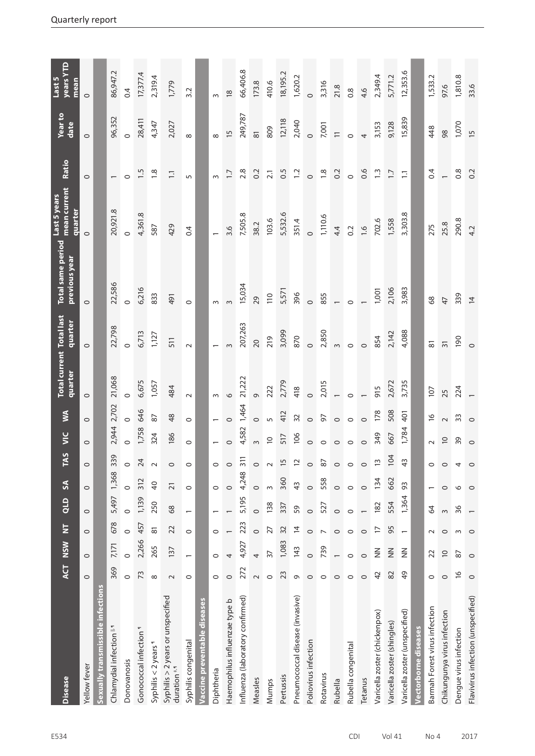| <b>Disease</b>                                    |                 | ACT NSW                  | $\overline{z}$      | QLD     | S               | E             | AS VIC         | УV             | Total current Total last<br>quarter quarter |                 | Total same period<br>previous year | Last 5 years<br>  mean current<br>quarter | Ratio            | Year to<br>date     | years YTD<br>Last 5<br>mean |
|---------------------------------------------------|-----------------|--------------------------|---------------------|---------|-----------------|---------------|----------------|----------------|---------------------------------------------|-----------------|------------------------------------|-------------------------------------------|------------------|---------------------|-----------------------------|
| Yellow fever                                      | $\circ$         | $\circ$                  | $\circ$             | $\circ$ | $\circ$         | $\circ$       | $\circ$        | $\circ$        | $\circ$                                     | $\circ$         | $\circ$                            | $\circ$                                   | $\circ$          | $\circ$             | $\circ$                     |
| Sexually transmissible infections                 |                 |                          |                     |         |                 |               |                |                |                                             |                 |                                    |                                           |                  |                     |                             |
| Chlamydial infection <sup>1</sup>                 | 369             | 7,171                    | 678                 | 5,497   | 1,368           | 339           | 2,944          | 2,702          | 21,068                                      | 22,798          | 22,586                             | 20,921.8                                  |                  | 96,352              | 86,947.2                    |
| Donovanosis                                       | $\circ$         | $\circ$                  | $\circ$             | $\circ$ | $\circ$         | $\circ$       | $\circ$        | $\circ$        | $\circ$                                     | $\circ$         | $\circ$                            | $\circ$                                   | $\circ$          | $\circ$             | 0.4                         |
| Gonococcal infection <sup>1</sup>                 | 73              | 2,266                    | 457                 | 1,139   | 312             | 24            | 1,758          | 646            | 6,675                                       | 6,713           | 6,216                              | 4,361.8                                   | 1.5              | 28,411              | 17,377.4                    |
| Syphilis < 2 years 1                              | ${}^{\circ}$    | 265                      | $\overline{\infty}$ | 250     | $\overline{a}$  | $\sim$        | 324            | $87$           | 1,057                                       | 1,127           | 833                                | 587                                       | $\frac{8}{1}$    | 4,347               | 2,319.4                     |
| Syphilis > 2 years or unspecified<br>duration *.1 | $\sim$          | 137                      | 22                  | 68      | $\overline{21}$ | $\circ$       | 186            | 48             | 484                                         | 511             | 491                                | 429                                       | $\Xi$            | 2,027               | 1,779                       |
| Syphilis congenital                               | $\circ$         | $\overline{\phantom{0}}$ | $\circ$             |         | $\circ$         | $\circ$       | $\circ$        | $\circ$        | $\sim$                                      | $\sim$          | $\circ$                            | 0.4                                       | 5                | $\infty$            | 3.2                         |
| Vaccine preventable diseases                      |                 |                          |                     |         |                 |               |                |                |                                             |                 |                                    |                                           |                  |                     |                             |
| Diphtheria                                        | 0               | $\circ$                  | 0                   |         | $\circ$         | 0             |                |                |                                             |                 |                                    |                                           |                  | $\infty$            |                             |
| Haemophilus influenzae type b                     | $\circ$         | 4                        |                     |         | $\circ$         | $\circ$       |                | $\circ$        | $\circ$                                     |                 |                                    | 3.6                                       | $\overline{1.7}$ | 15                  | $\frac{8}{2}$               |
| Influenza (laboratory confirmed)                  | 272             | 4,927                    | 223                 | 5,195   | 4,248           | 311           | 4,582          | 1,464          | 21,222                                      | 207,263         | 15,034                             | 7,505.8                                   | 2.8              | 249,787             | 66,406.8                    |
| Measles                                           | $\sim$          | 4                        | $\circ$             | $\circ$ | $\circ$         | $\circ$       | $\omega$       | $\circ$        |                                             | $\overline{0}$  | 29                                 | 38.2                                      | 0.2              | $\overline{\infty}$ | 173.8                       |
| Mumps                                             | $\circ$         | $\overline{5}$           | 27                  | 138     | $\sim$          |               | $\overline{C}$ | $\sqrt{2}$     | 222                                         | 219             | 110                                | 103.6                                     | $\overline{2.1}$ | 809                 | 410.6                       |
| Pertussis                                         | 23              | 1,083                    | 32                  | 337     | 360             |               | 517            | 412            | 2,779                                       | 3,099           | 5,571                              | 5,532.6                                   | 0.5              | 12,118              | 18, 195.2                   |
| Pneumococcal disease (invasive)                   | G               | 143                      | $\overline{4}$      | 59      | $\overline{4}$  |               | 106            | $\mathfrak{Z}$ | 418                                         | 870             | 396                                | 351.4                                     | $\overline{1}$ : | 2,040               | 1,620.2                     |
| Poliovirus infection                              | $\circ$         | $\circ$                  | $\circ$             | $\circ$ | $\circ$         | 20000         | $\circ$        | $\circ$        | $\circ$                                     | $\circ$         | $\circ$                            | $\circ$                                   | $\circ$          | $\circ$             | $\circ$                     |
| Rotavirus                                         | $\circ$         | 739                      | $\overline{ }$      | 527     | 558             |               | $\circ$        | 97             | 2,015                                       | 2,850           | 855                                | 1,110.6                                   | $1.8$            | 7,001               | 3,316                       |
| Rubella                                           | $\circ$         |                          | $\circ$             | $\circ$ | $\circ$         |               | $\circ$        | $\circ$        |                                             | $\infty$        |                                    | 4.4                                       | 0.2              |                     | 21.8                        |
| Rubella congenital                                | $\circ$         | $\circ$                  | $\circ$             | $\circ$ | $\circ$         | $\circ$       | $\circ$        | $\circ$        | $\circ$                                     | $\circ$         | $\circ$                            | 0.2                                       | $\circ$          | $\circ$             | 0.8                         |
| Tetanus                                           | $\circ$         | $\circ$                  | $\circ$             |         | $\circ$         | $\circ$       | $\circ$        | $\circ$        |                                             | $\circ$         |                                    | $-1.6$                                    | 0.6              | $\overline{a}$      | 4.6                         |
| Varicella zoster (chickenpox)                     | 42              | $\frac{z}{z}$            | F                   | 182     | 134             | $\tilde{1}$   | 349            | 178            | 915                                         | 854             | 1,001                              | 702.6                                     | $\frac{3}{2}$    | 3,153               | 2,349.4                     |
| Varicella zoster (shingles)                       | 82              | $\frac{2}{2}$            | 95                  | 554     | 662             | 104           | 667            | 508            | 2,672                                       | 2,142           | 2,106                              | 1,558                                     | $\overline{1.7}$ | 9,128               | 5,771.2                     |
| Varicella zoster (unspecified)                    | $\overline{49}$ | $\frac{z}{z}$            |                     | 1,364   | 93              | $\frac{4}{3}$ | 1,784          | 401            | 3,735                                       | 4,088           | 3,983                              | 3,303.8                                   | $\Xi$            | 15,839              | 12,353.6                    |
| Vectorborne diseases                              |                 |                          |                     |         |                 |               |                |                |                                             |                 |                                    |                                           |                  |                     |                             |
| Barmah Forest virus infection                     | 0               | 22                       | $\sim$              | 64      |                 | $\circ$       | $\sim$         | $\frac{1}{2}$  | 107                                         | 81              | 68                                 | 275                                       | 0.4              | 448                 | 1,533.2                     |
| Chikungunya virus infection                       | $\circ$         | $\supseteq$              | $\circ$             | $\sim$  | $\circ$         | $\circ$       | $\overline{C}$ | $\sim$         | 25                                          | $\overline{31}$ | 47                                 | 25.8                                      |                  | 98                  | 97.6                        |
| Dengue virus infection                            | $\overline{16}$ | 87                       | S                   | 36      | $\circ$         | 4             | 39             | $33$           | 224                                         | 190             | 339                                | 290.8                                     | $0.\overline{8}$ | 1,070               | 1,810.8                     |
| Flavivirus infection (unspecified)                | $\circ$         | $\circ$                  | $\circ$             |         | $\circ$         | $\circ$       | $\circ$        | $\circ$        |                                             | $\circ$         | $\overline{4}$                     | 4.2                                       | 0.2              | $\frac{15}{2}$      | 33.6                        |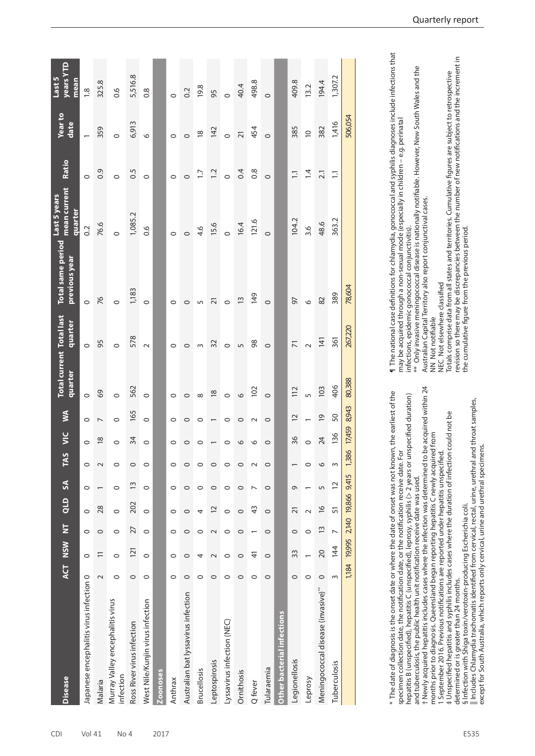| <b>Disease</b>                                |          | ACT NSW  | Ż              | QLD                       | $\boldsymbol{S}$ | <b>TAS</b>                       | УIС            | Š                        | <b>Total current Total last</b><br>quarter | quarter        | <b>Total same period</b><br>previous year | mean current<br>Last 5 years<br>quarter | Ratio           | <b>Year to</b><br>date   | <b>Vears YTD</b><br>Last 5<br>mean |
|-----------------------------------------------|----------|----------|----------------|---------------------------|------------------|----------------------------------|----------------|--------------------------|--------------------------------------------|----------------|-------------------------------------------|-----------------------------------------|-----------------|--------------------------|------------------------------------|
| Japanese encephalitis virus infection 0       |          | $\circ$  | $\circ$        | $\circ$                   | $\circ$          | $\circ$                          | $\circ$        | $\circ$                  | $\circ$                                    | $\circ$        | $\circ$                                   | 0.2                                     | $\circ$         | $\overline{\phantom{0}}$ | $\frac{8}{1}$                      |
| Malaria                                       | $\sim$   | $\equiv$ | $\circ$        | 28                        |                  | $\sim$                           | $\frac{8}{2}$  | $\overline{\phantom{a}}$ | $69$                                       | 95             | 76                                        | 76.6                                    | $\overline{0}$  | 359                      | 325.8                              |
| Murray Valley encephalitis virus<br>infection | $\circ$  | $\circ$  | $\circ$        | $\circ$                   | $\circ$          | $\circ$                          | $\circ$        | $\circ$                  | $\circ$                                    | $\circ$        | $\circ$                                   | $\circ$                                 | $\circ$         | $\circ$                  | 0.6                                |
| Ross River virus infection                    | $\circ$  | 121      | 27             | 202                       | $\tilde{1}$      | $\circ$                          | $\frac{34}{3}$ | 165                      | 562                                        | 578            | 1,183                                     | 1,085.2                                 | 0.5             | 6,913                    | 5,516.8                            |
| West Nile/Kunjin virus infection              | $\circ$  | $\circ$  | $\circ$        | $\circ$                   | $\circ$          | $\circ$                          | $\circ$        | $\circ$                  | $\circ$                                    | $\sim$         | $\circ$                                   | 0.6                                     | $\circ$         | $\circ$                  | $\frac{8}{2}$                      |
| <b>Zoonoses</b>                               |          |          |                |                           |                  |                                  |                |                          |                                            |                |                                           |                                         |                 |                          |                                    |
| Anthrax                                       | 0        | 0        | 0              | 0                         | 0                | 0                                | $\circ$        | 0                        | 0                                          | $\circ$        | $\circ$                                   | 0                                       | $\circ$         | $\circ$                  | $\circ$                            |
| Australian bat lyssavirus infection           | $\circ$  | $\circ$  | $\circ$        | $\circ$                   | 0                | $\circ$                          | $\circ$        | $\circ$                  | $\circ$                                    | $\circ$        | $\circ$                                   | $\circ$                                 | $\circ$         | $\circ$                  | 0.2                                |
| <b>Brucellosis</b>                            | $\circ$  | 4        | 0              | 4                         | 0                | $\circ$                          | $\circ$        | $\circ$                  | $\infty$                                   | $\sim$         | LO                                        | 4.6                                     | $\ddot{5}$      | $\overline{\infty}$      | 19.8                               |
| Leptospirosis                                 | $\circ$  | $\sim$   | $\sim$         | $\overline{c}$            | $\circ$          | $\circ$                          |                | $\overline{\phantom{0}}$ | $\frac{8}{2}$                              | 32             | $\overline{2}$                            | 15.6                                    | $\ddot{ }$ :2   | 142                      | 95                                 |
| Lyssavirus infection (NEC)                    | $\circ$  | $\circ$  | $\circ$        | $\circ$                   | $\circ$          | $\circ$                          | $\circ$        | $\circ$                  | $\circ$                                    | $\circ$        | $\circ$                                   | $\circ$                                 | $\circ$         | $\circ$                  | $\circ$                            |
| Ornithosis                                    | $\circ$  | $\circ$  | $\circ$        | $\circ$                   | $\circ$          | $\circ$                          | $\circ$        | $\circ$                  | $\circ$                                    | $\sqrt{2}$     | $\frac{1}{2}$                             | 16.4                                    | 0.4             | $\overline{21}$          | 40.4                               |
| Q fever                                       | $\circ$  | 4        |                | 43                        | $\overline{ }$   | $\sim$                           | O              | $\sim$                   | $\overline{5}$                             | 98             | $\frac{149}{5}$                           | 121.6                                   | $\frac{8}{2}$   | 454                      | 498.8                              |
| Tularaemia                                    | $\circ$  | $\circ$  | $\circ$        | $\circ$                   | $\circ$          | $\circ$                          | $\circ$        | $\circ$                  | $\circ$                                    | $\circ$        | $\circ$                                   | $\circ$                                 | $\circ$         | $\circ$                  | $\circ$                            |
| Other bacterial infections                    |          |          |                |                           |                  |                                  |                |                          |                                            |                |                                           |                                         |                 |                          |                                    |
| Legionellosis                                 | $\circ$  | 33       | $\circ$        | $\overline{21}$           | G                |                                  | 36             | 12                       | 112                                        | $\overline{7}$ | 57                                        | 104.2                                   | $\Xi$           | 385                      | 409.8                              |
| Leprosy                                       | $\circ$  |          | 0              | $\sim$                    |                  | $\circ$                          | $\circ$        |                          | $\overline{5}$                             | $\sim$         | $\circ$                                   | 3.6                                     | $\overline{4}$  | $\overline{C}$           | 13.2                               |
| Meningococcal disease (invasive)**            | $\circ$  | 20       | $\tilde{1}$    | $\frac{6}{2}$             | 5                | $\circ$                          | 24             | $\overline{0}$           | 103                                        | 141            | $82\,$                                    | 48.6                                    | $\overline{21}$ | 382                      | 194.4                              |
| Tuberculosis                                  | $\infty$ | 144      | $\overline{ }$ | 51                        | 12               | $\sim$                           | 136            | 50                       | 406                                        | 361            | 389                                       | 363.2                                   | $\Xi$           | 1,416                    | 1,307.2                            |
|                                               | 1,184    |          |                | 19,995 2,140 19,866 9,415 |                  | $\frac{86}{2}$<br>$\frac{13}{2}$ | 17,459         | 8,943                    | 80,388                                     | 267,220        | 78,604                                    |                                         |                 | 506,054                  |                                    |
|                                               |          |          |                |                           |                  |                                  |                |                          |                                            |                |                                           |                                         |                 |                          |                                    |

 $^\ast$  The date of diagnosis is the onset date or where the date of onset was not known, the earliest of the specimen collection date, the notification date, or the notification receive date. For \* The date of diagnosis is the onset date or where the date of onset was not known, the earliest of the hepatitis B (unspecified), hepatitis C (unspecified), leprosy, syphilis (> 2 years or unspecified duration) specimen collection date, the notification date, or the notification receive date. For

hepatitis B (unspecified), hepatitis C (unspecified), leprosy, syphilis (> 2 years or unspecified duration) and tuberculosis, the public health unit notification receive date was used. and tuberculosis, the public health unit notification receive date was used.

Newly acquired hepatitis includes cases where the infection was determined to be acquired within 24 † Newly acquired hepatitis includes cases where the infection was determined to be acquired within 24 months prior to diagnosis. Queensland began reporting hepatitis C newly acquired from months prior to diagnosis. Queensland began reporting hepatitis C newly acquired from

September 2016. Previous notifications are reported under hepatitis unspecified. 1 September 2016. Previous notifications are reported under hepatitis unspecified.

Unspecified hepatitis and syphilis includes cases where the duration of infection could not be ‡ Unspecified hepatitis and syphilis includes cases where the duration of infection could not be determined or is greater than 24 months. determined or is greater than 24 months.

i Infection with Shiga toxin/verotoxin-producing Escherichia coli. § Infection with Shiga toxin/verotoxin-producing Escherichia coli.

Includes Chlamydia trachomatis identified from cervical, rectal, urine, urethral and throat samples, || Includes Chlamydia trachomatis identified from cervical, rectal, urine, urethral and throat samples, except for South Australia, which reports only cervical, urine and urethral specimens. except for South Australia, which reports only cervical, urine and urethral specimens.

1 The national case definitions for chlamydia, gonococcal and syphilis diagnoses include infections that ¶ The national case definitions for chlamydia, gonococcal and syphilis diagnoses include infections that may be acquired through a non-sexual mode (especially in children - e.g. perinatal may be acquired through a non-sexual mode (especially in children – e.g. perinatal

infections, epidemic gonococcal conjunctivitis).

infections, epidemic gonococcal conjunctivitis). '<br>\*\* Only invasive meningococcal disease is nationally notifiable. However, New South Wales and the<br>Australian Capital Territory also report conjunctival cases. \*\* Only invasive meningococcal disease is nationally notifiable. However, New South Wales and the Australian Capital Territory also report conjunctival cases.

NN Not notifiable

NN Not notifiable<br>NEC Not elsewhere classified NEC Not elsewhere classified

Totals comprise data from all states and territories. Cumulative figures are subject to retrospective<br>revision so there may be discrepancies between the number of new notifications and the increment in revision so there may be discrepancies between the number of new notifications and the increment in Totals comprise data from all states and territories. Cumulative figures are subject to retrospective the cumulative figure from the previous period. the cumulative figure from the previous period.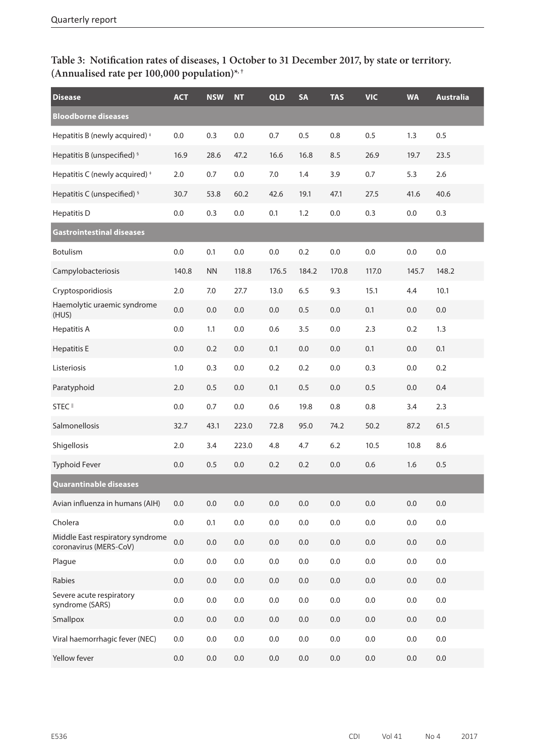## **Table 3: Notification rates of diseases, 1 October to 31 December 2017, by state or territory. (Annualised rate per 100,000 population)\*, †**

| <b>Disease</b>                                             | <b>ACT</b> | <b>NSW</b> | <b>NT</b> | <b>QLD</b> | <b>SA</b> | <b>TAS</b> | <b>VIC</b> | <b>WA</b> | <b>Australia</b> |
|------------------------------------------------------------|------------|------------|-----------|------------|-----------|------------|------------|-----------|------------------|
| <b>Bloodborne diseases</b>                                 |            |            |           |            |           |            |            |           |                  |
| Hepatitis B (newly acquired) <sup>+</sup>                  | 0.0        | 0.3        | 0.0       | 0.7        | 0.5       | 0.8        | 0.5        | 1.3       | 0.5              |
| Hepatitis B (unspecified) <sup>§</sup>                     | 16.9       | 28.6       | 47.2      | 16.6       | 16.8      | 8.5        | 26.9       | 19.7      | 23.5             |
| Hepatitis C (newly acquired) <sup>+</sup>                  | $2.0$      | 0.7        | $0.0\,$   | 7.0        | 1.4       | 3.9        | 0.7        | 5.3       | 2.6              |
| Hepatitis C (unspecified) <sup>§</sup>                     | 30.7       | 53.8       | 60.2      | 42.6       | 19.1      | 47.1       | 27.5       | 41.6      | 40.6             |
| <b>Hepatitis D</b>                                         | $0.0\,$    | 0.3        | 0.0       | 0.1        | 1.2       | 0.0        | 0.3        | 0.0       | 0.3              |
| Gastrointestinal diseases                                  |            |            |           |            |           |            |            |           |                  |
| <b>Botulism</b>                                            | 0.0        | 0.1        | 0.0       | 0.0        | 0.2       | 0.0        | 0.0        | 0.0       | 0.0              |
| Campylobacteriosis                                         | 140.8      | <b>NN</b>  | 118.8     | 176.5      | 184.2     | 170.8      | 117.0      | 145.7     | 148.2            |
| Cryptosporidiosis                                          | 2.0        | 7.0        | 27.7      | 13.0       | 6.5       | 9.3        | 15.1       | 4.4       | 10.1             |
| Haemolytic uraemic syndrome<br>(HUS)                       | 0.0        | $0.0\,$    | $0.0\,$   | 0.0        | 0.5       | 0.0        | 0.1        | 0.0       | 0.0              |
| <b>Hepatitis A</b>                                         | 0.0        | 1.1        | 0.0       | 0.6        | 3.5       | 0.0        | 2.3        | 0.2       | 1.3              |
| <b>Hepatitis E</b>                                         | 0.0        | 0.2        | 0.0       | 0.1        | 0.0       | 0.0        | 0.1        | 0.0       | 0.1              |
| Listeriosis                                                | 1.0        | 0.3        | 0.0       | 0.2        | 0.2       | 0.0        | 0.3        | 0.0       | 0.2              |
| Paratyphoid                                                | 2.0        | 0.5        | 0.0       | 0.1        | 0.5       | 0.0        | 0.5        | 0.0       | 0.4              |
| STEC <sup>II</sup>                                         | 0.0        | 0.7        | 0.0       | 0.6        | 19.8      | 0.8        | 0.8        | 3.4       | 2.3              |
| Salmonellosis                                              | 32.7       | 43.1       | 223.0     | 72.8       | 95.0      | 74.2       | 50.2       | 87.2      | 61.5             |
| Shigellosis                                                | 2.0        | 3.4        | 223.0     | 4.8        | 4.7       | 6.2        | 10.5       | 10.8      | 8.6              |
| <b>Typhoid Fever</b>                                       | 0.0        | 0.5        | 0.0       | 0.2        | 0.2       | 0.0        | 0.6        | 1.6       | 0.5              |
| <b>Quarantinable diseases</b>                              |            |            |           |            |           |            |            |           |                  |
| Avian influenza in humans (AIH)                            | 0.0        | $0.0\,$    | 0.0       | 0.0        | 0.0       | $0.0\,$    | $0.0\,$    | 0.0       | $0.0\,$          |
| Cholera                                                    | $0.0\,$    | 0.1        | 0.0       | 0.0        | $0.0\,$   | 0.0        | $0.0\,$    | 0.0       | 0.0              |
| Middle East respiratory syndrome<br>coronavirus (MERS-CoV) | 0.0        | 0.0        | 0.0       | 0.0        | $0.0\,$   | 0.0        | $0.0\,$    | 0.0       | $0.0\,$          |
| Plague                                                     | $0.0\,$    | $0.0\,$    | 0.0       | 0.0        | 0.0       | 0.0        | $0.0\,$    | 0.0       | $0.0\,$          |
| Rabies                                                     | 0.0        | $0.0\,$    | $0.0\,$   | 0.0        | $0.0\,$   | 0.0        | $0.0\,$    | 0.0       | $0.0\,$          |
| Severe acute respiratory<br>syndrome (SARS)                | $0.0\,$    | 0.0        | 0.0       | 0.0        | $0.0\,$   | 0.0        | $0.0\,$    | 0.0       | 0.0              |
| Smallpox                                                   | $0.0\,$    | $0.0\,$    | 0.0       | 0.0        | $0.0\,$   | 0.0        | $0.0\,$    | 0.0       | 0.0              |
| Viral haemorrhagic fever (NEC)                             | $0.0\,$    | $0.0\,$    | 0.0       | 0.0        | $0.0\,$   | 0.0        | $0.0\,$    | 0.0       | $0.0\,$          |
| Yellow fever                                               | 0.0        | $0.0\,$    | 0.0       | 0.0        | 0.0       | 0.0        | $0.0\,$    | 0.0       | $0.0\,$          |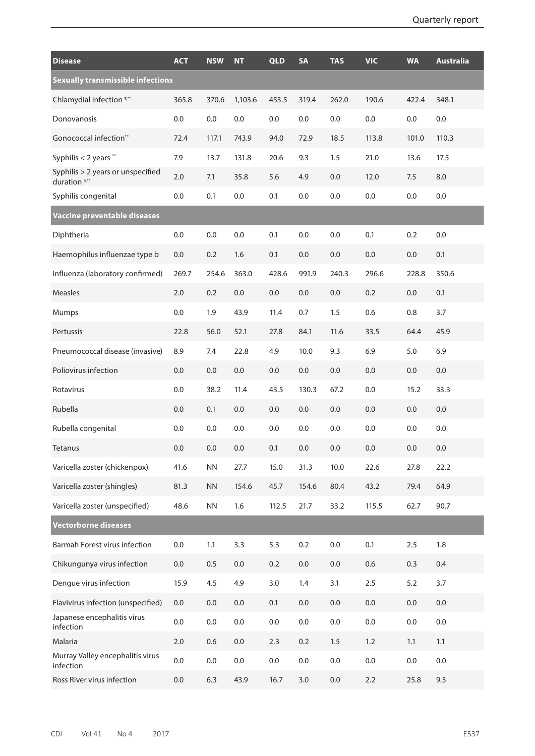| <b>Disease</b>                                     | <b>ACT</b> | <b>NSW</b> | NT      | <b>QLD</b> | <b>SA</b> | <b>TAS</b> | <b>VIC</b> | <b>WA</b> | <b>Australia</b> |
|----------------------------------------------------|------------|------------|---------|------------|-----------|------------|------------|-----------|------------------|
| <b>Sexually transmissible infections</b>           |            |            |         |            |           |            |            |           |                  |
| Chlamydial infection 1.**                          | 365.8      | 370.6      | 1,103.6 | 453.5      | 319.4     | 262.0      | 190.6      | 422.4     | 348.1            |
| Donovanosis                                        | 0.0        | 0.0        | 0.0     | 0.0        | 0.0       | 0.0        | 0.0        | 0.0       | 0.0              |
| Gonococcal infection**                             | 72.4       | 117.1      | 743.9   | 94.0       | 72.9      | 18.5       | 113.8      | 101.0     | 110.3            |
| Syphilis < 2 years **                              | 7.9        | 13.7       | 131.8   | 20.6       | 9.3       | 1.5        | 21.0       | 13.6      | 17.5             |
| Syphilis > 2 years or unspecified<br>duration 5,** | 2.0        | 7.1        | 35.8    | 5.6        | 4.9       | 0.0        | 12.0       | 7.5       | 8.0              |
| Syphilis congenital                                | 0.0        | 0.1        | 0.0     | 0.1        | 0.0       | 0.0        | 0.0        | 0.0       | $0.0\,$          |
| Vaccine preventable diseases                       |            |            |         |            |           |            |            |           |                  |
| Diphtheria                                         | 0.0        | 0.0        | 0.0     | 0.1        | 0.0       | 0.0        | 0.1        | 0.2       | 0.0              |
| Haemophilus influenzae type b                      | 0.0        | 0.2        | 1.6     | 0.1        | 0.0       | 0.0        | 0.0        | 0.0       | 0.1              |
| Influenza (laboratory confirmed)                   | 269.7      | 254.6      | 363.0   | 428.6      | 991.9     | 240.3      | 296.6      | 228.8     | 350.6            |
| <b>Measles</b>                                     | 2.0        | 0.2        | 0.0     | 0.0        | 0.0       | 0.0        | 0.2        | 0.0       | 0.1              |
| <b>Mumps</b>                                       | 0.0        | 1.9        | 43.9    | 11.4       | 0.7       | 1.5        | 0.6        | 0.8       | 3.7              |
| Pertussis                                          | 22.8       | 56.0       | 52.1    | 27.8       | 84.1      | 11.6       | 33.5       | 64.4      | 45.9             |
| Pneumococcal disease (invasive)                    | 8.9        | 7.4        | 22.8    | 4.9        | 10.0      | 9.3        | 6.9        | $5.0$     | 6.9              |
| Poliovirus infection                               | 0.0        | 0.0        | 0.0     | 0.0        | 0.0       | 0.0        | 0.0        | 0.0       | 0.0              |
| Rotavirus                                          | 0.0        | 38.2       | 11.4    | 43.5       | 130.3     | 67.2       | 0.0        | 15.2      | 33.3             |
| Rubella                                            | 0.0        | 0.1        | 0.0     | 0.0        | 0.0       | 0.0        | 0.0        | 0.0       | 0.0              |
| Rubella congenital                                 | 0.0        | 0.0        | 0.0     | 0.0        | 0.0       | 0.0        | $0.0\,$    | 0.0       | $0.0\,$          |
| <b>Tetanus</b>                                     | 0.0        | 0.0        | 0.0     | 0.1        | 0.0       | 0.0        | 0.0        | 0.0       | 0.0              |
| Varicella zoster (chickenpox)                      | 41.6       | <b>NN</b>  | 27.7    | 15.0       | 31.3      | 10.0       | 22.6       | 27.8      | 22.2             |
| Varicella zoster (shingles)                        | 81.3       | <b>NN</b>  | 154.6   | 45.7       | 154.6     | 80.4       | 43.2       | 79.4      | 64.9             |
| Varicella zoster (unspecified)                     | 48.6       | <b>NN</b>  | 1.6     | 112.5      | 21.7      | 33.2       | 115.5      | 62.7      | 90.7             |
| <b>Vectorborne diseases</b>                        |            |            |         |            |           |            |            |           |                  |
| Barmah Forest virus infection                      | 0.0        | 1.1        | 3.3     | 5.3        | 0.2       | $0.0\,$    | 0.1        | 2.5       | 1.8              |
| Chikungunya virus infection                        | 0.0        | 0.5        | $0.0\,$ | 0.2        | $0.0\,$   | 0.0        | 0.6        | 0.3       | 0.4              |
| Dengue virus infection                             | 15.9       | 4.5        | 4.9     | 3.0        | 1.4       | 3.1        | 2.5        | 5.2       | 3.7              |
| Flavivirus infection (unspecified)                 | 0.0        | 0.0        | $0.0\,$ | 0.1        | $0.0\,$   | 0.0        | $0.0\,$    | $0.0\,$   | 0.0              |
| Japanese encephalitis virus<br>infection           | 0.0        | 0.0        | 0.0     | 0.0        | 0.0       | 0.0        | $0.0\,$    | 0.0       | 0.0              |
| Malaria                                            | 2.0        | 0.6        | $0.0\,$ | 2.3        | 0.2       | 1.5        | 1.2        | 1.1       | 1.1              |
| Murray Valley encephalitis virus<br>infection      | 0.0        | 0.0        | 0.0     | 0.0        | $0.0\,$   | 0.0        | $0.0\,$    | 0.0       | $0.0\,$          |
| Ross River virus infection                         | 0.0        | 6.3        | 43.9    | 16.7       | 3.0       | 0.0        | 2.2        | 25.8      | 9.3              |